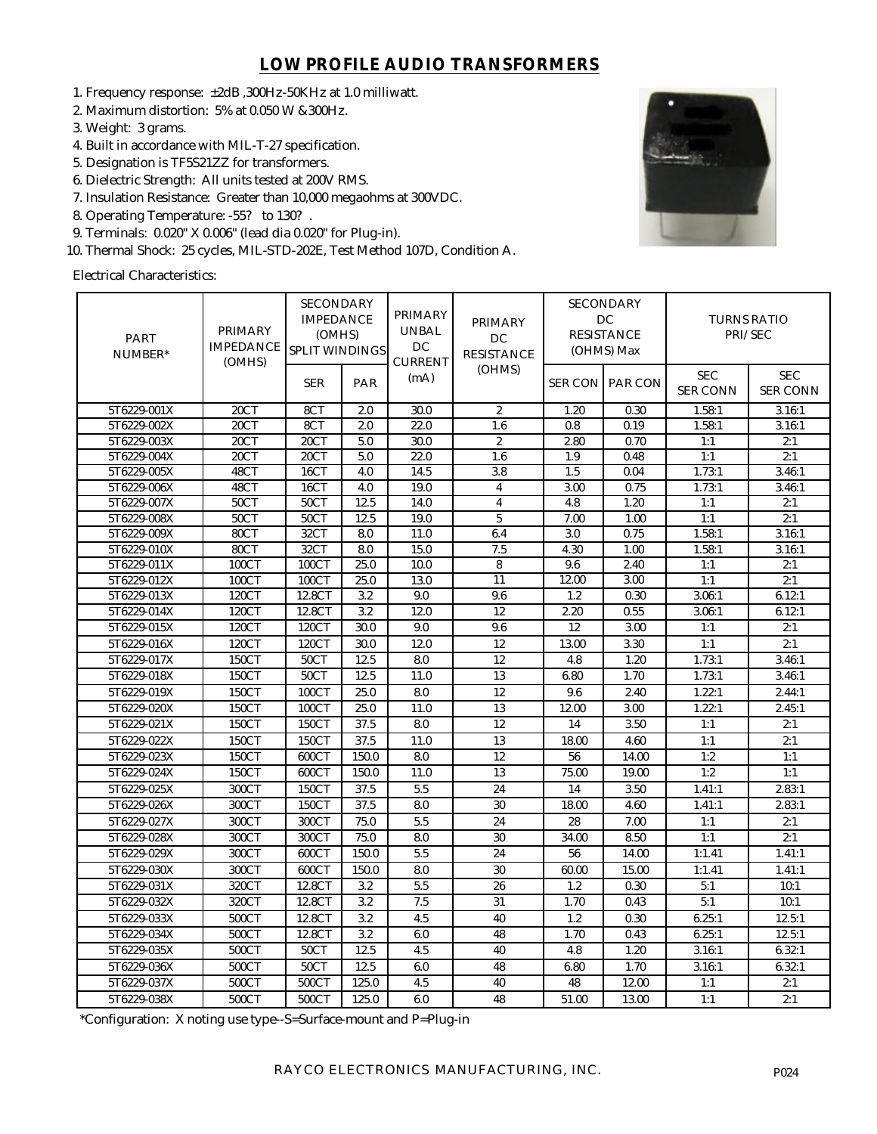## **LOW PROFILE AUDIO TRANSFORMERS**

- 1. Frequency response: ±2dB ,300Hz-50KHz at 1.0 milliwatt.
- 2. Maximum distortion: 5% at 0.050 W &300Hz.
- 3. Weight: 3 grams.
- 4. Built in accordance with MIL-T-27 specification.
- 5. Designation is TF5S21ZZ for transformers.
- 6. Dielectric Strength: All units tested at 200V RMS.
- 7. Insulation Resistance: Greater than 10,000 megaohms at 300VDC.
- 8. Operating Temperature: -55? to 130? .
- 9. Terminals: 0.020" X 0.006" (lead dia 0.020" for Plug-in).
- 10. Thermal Shock: 25 cycles, MIL-STD-202E, Test Method 107D, Condition A.

Electrical Characteristics:



| <b>PART</b><br>NUMBER* | PRIMARY<br><b>IMPEDANCE</b><br>(OMHS) | <b>SECONDARY</b><br><b>IMPEDANCE</b><br>(OMHS)<br>SPLIT WINDINGS |       | PRIMARY<br><b>UNBAL</b><br>DC<br><b>CURRENT</b> | <b>PRIMARY</b><br>DC<br><b>RESISTANCE</b> | <b>SECONDARY</b><br>DC<br><b>RESISTANCE</b><br>(OHMS) Max |                        | <b>TURNS RATIO</b><br>PRI/SEC |                               |
|------------------------|---------------------------------------|------------------------------------------------------------------|-------|-------------------------------------------------|-------------------------------------------|-----------------------------------------------------------|------------------------|-------------------------------|-------------------------------|
|                        |                                       | <b>SER</b>                                                       | PAR   | (mA)                                            | (OHMS)                                    |                                                           | <b>SER CON PAR CON</b> | <b>SEC</b><br><b>SER CONN</b> | <b>SEC</b><br><b>SER CONN</b> |
| 5T6229-001X            | 20CT                                  | 8CT                                                              | 2.0   | 30.0                                            | $\mathbf{2}^{\prime}$                     | 1.20                                                      | 0.30                   | 1.58:1                        | 3.16:1                        |
| 5T6229-002X            | 20CT                                  | 8CT                                                              | 2.0   | 22.0                                            | 1.6                                       | 0.8                                                       | 0.19                   | 1.58:1                        | 3.16:1                        |
| 5T6229-003X            | 20CT                                  | 20CT                                                             | 5.0   | 30.0                                            | $\overline{2}$                            | 2.80                                                      | 0.70                   | 1:1                           | 2:1                           |
| 5T6229-004X            | 20CT                                  | 20CT                                                             | 5.0   | 22.0                                            | 1.6                                       | 1.9                                                       | 0.48                   | 1:1                           | 2:1                           |
| 5T6229-005X            | 48CT                                  | 16CT                                                             | 4.0   | 14.5                                            | 3.8                                       | 1.5                                                       | 0.04                   | 1.73:1                        | 3.46:1                        |
| 5T6229-006X            | 48CT                                  | 16CT                                                             | 4.0   | 19.0                                            | $\overline{\mathbf{4}}$                   | 3.00                                                      | 0.75                   | 1.73:1                        | 3.46:1                        |
| 5T6229-007X            | 50CT                                  | 50CT                                                             | 12.5  | 14.0                                            | $\overline{\mathbf{4}}$                   | 4.8                                                       | 1.20                   | 1:1                           | 2:1                           |
| 5T6229-008X            | 50CT                                  | 50CT                                                             | 12.5  | 19.0                                            | $\sqrt{5}$                                | 7.00                                                      | 1.00                   | 1:1                           | 2:1                           |
| 5T6229-009X            | 80CT                                  | 32CT                                                             | 8.0   | 11.0                                            | 6.4                                       | 3.0                                                       | 0.75                   | 1.58:1                        | 3.16:1                        |
| 5T6229-010X            | 80CT                                  | 32CT                                                             | 8.0   | 15.0                                            | 7.5                                       | 4.30                                                      | 1.00                   | 1.58:1                        | 3.16:1                        |
| 5T6229-011X            | 100CT                                 | 100CT                                                            | 25.0  | 10.0                                            | 8                                         | 9.6                                                       | 2.40                   | 1:1                           | 2:1                           |
| 5T6229-012X            | 100CT                                 | 100CT                                                            | 25.0  | 13.0                                            | 11                                        | 12.00                                                     | 3.00                   | 1:1                           | 2:1                           |
| 5T6229-013X            | 120CT                                 | 12.8CT                                                           | 3.2   | 9.0                                             | 9.6                                       | 1.2                                                       | 0.30                   | 3.06:1                        | 6.12:1                        |
| 5T6229-014X            | 120CT                                 | 12.8CT                                                           | 3.2   | 12.0                                            | 12                                        | 2.20                                                      | 0.55                   | 3.06:1                        | 6.12:1                        |
| 5T6229-015X            | 120CT                                 | 120CT                                                            | 30.0  | 9.0                                             | 9.6                                       | 12                                                        | 3.00                   | 1:1                           | 2:1                           |
| 5T6229-016X            | 120CT                                 | 120CT                                                            | 30.0  | 12.0                                            | 12                                        | 13.00                                                     | 3.30                   | 1:1                           | 2:1                           |
| 5T6229-017X            | 150CT                                 | 50CT                                                             | 12.5  | 8.0                                             | 12                                        | 4.8                                                       | 1.20                   | 1.73:1                        | 3.46:1                        |
| 5T6229-018X            | 150CT                                 | 50CT                                                             | 12.5  | 11.0                                            | 13                                        | 6.80                                                      | 1.70                   | 1.73:1                        | 3.46:1                        |
| 5T6229-019X            | 150CT                                 | 100CT                                                            | 25.0  | 8.0                                             | 12                                        | 9.6                                                       | 2.40                   | 1.22:1                        | 2.44:1                        |
| 5T6229-020X            | 150CT                                 | 100CT                                                            | 25.0  | 11.0                                            | 13                                        | 12.00                                                     | 3.00                   | 1.22:1                        | 2.45:1                        |
| 5T6229-021X            | 150CT                                 | 150CT                                                            | 37.5  | 8.0                                             | 12                                        | 14                                                        | 3.50                   | 1:1                           | 2:1                           |
| 5T6229-022X            | 150CT                                 | 150CT                                                            | 37.5  | 11.0                                            | 13                                        | 18.00                                                     | 4.60                   | 1:1                           | 2:1                           |
| 5T6229-023X            | 150CT                                 | 600CT                                                            | 150.0 | 8.0                                             | 12                                        | 56                                                        | 14.00                  | 1:2                           | 1:1                           |
| 5T6229-024X            | 150CT                                 | 600CT                                                            | 150.0 | 11.0                                            | 13                                        | 75.00                                                     | 19.00                  | 1:2                           | 1:1                           |
| 5T6229-025X            | 300CT                                 | 150CT                                                            | 37.5  | 5.5                                             | 24                                        | 14                                                        | 3.50                   | 1.41:1                        | 2.83:1                        |
| 5T6229-026X            | 300CT                                 | 150CT                                                            | 37.5  | 8.0                                             | 30                                        | 18.00                                                     | 4.60                   | 1.41:1                        | 2.83:1                        |
| 5T6229-027X            | 300CT                                 | 300CT                                                            | 75.0  | 5.5                                             | 24                                        | 28                                                        | 7.00                   | 1:1                           | 2:1                           |
| 5T6229-028X            | 300CT                                 | 300CT                                                            | 75.0  | 8.0                                             | 30                                        | 34.00                                                     | 8.50                   | 1:1                           | 2:1                           |
| 5T6229-029X            | 300CT                                 | 600CT                                                            | 150.0 | 5.5                                             | 24                                        | 56                                                        | 14.00                  | 1:1.41                        | 1.41:1                        |
| 5T6229-030X            | 300CT                                 | 600CT                                                            | 150.0 | 8.0                                             | 30                                        | 60.00                                                     | 15.00                  | 1:1.41                        | 1.41:1                        |
| 5T6229-031X            | 320CT                                 | 12.8CT                                                           | 3.2   | 5.5                                             | 26                                        | 1.2                                                       | 0.30                   | 5:1                           | 10:1                          |
| 5T6229-032X            | 320CT                                 | 12.8CT                                                           | 3.2   | 7.5                                             | 31                                        | 1.70                                                      | 0.43                   | 5:1                           | 10:1                          |
| 5T6229-033X            | 500CT                                 | 12.8CT                                                           | 3.2   | 4.5                                             | 40                                        | 1.2                                                       | 0.30                   | 6.25:1                        | 12.5:1                        |
| 5T6229-034X            | 500CT                                 | 12.8CT                                                           | 3.2   | 6.0                                             | 48                                        | 1.70                                                      | 0.43                   | 6.25:1                        | 12.5:1                        |
| 5T6229-035X            | 500CT                                 | <b>50CT</b>                                                      | 12.5  | 4.5                                             | 40                                        | 4.8                                                       | 1.20                   | 3.16:1                        | 6.32:1                        |
| 5T6229-036X            | 500CT                                 | 50CT                                                             | 12.5  | 6.0                                             | 48                                        | 6.80                                                      | 1.70                   | 3.16:1                        | 6.32:1                        |
| 5T6229-037X            | 500CT                                 | 500CT                                                            | 125.0 | 4.5                                             | 40                                        | 48                                                        | 12.00                  | 1:1                           | 2:1                           |
| 5T6229-038X            | 500CT                                 | 500CT                                                            | 125.0 | 6.0                                             | 48                                        | 51.00                                                     | 13.00                  | 1:1                           | 2:1                           |
|                        |                                       |                                                                  |       |                                                 |                                           |                                                           |                        |                               |                               |

\*Configuration: X noting use type--S=Surface-mount and P=Plug-in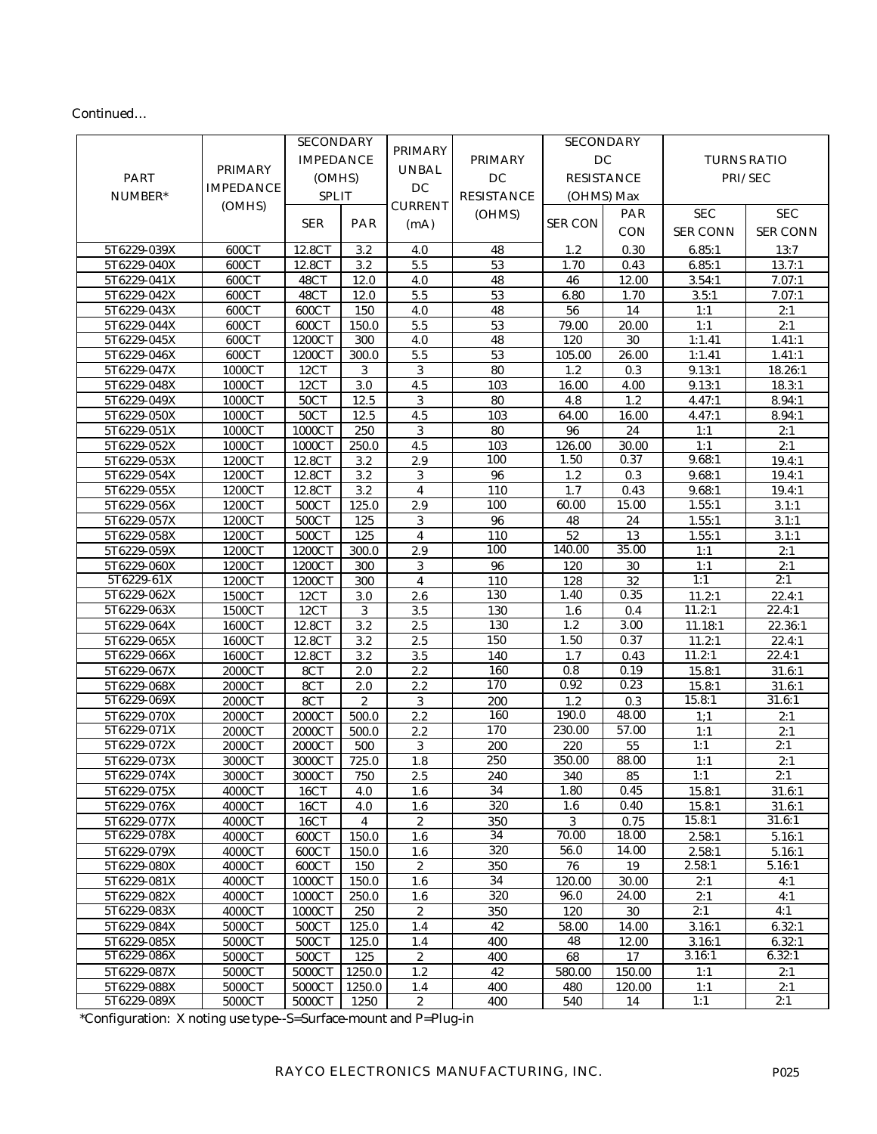## Continued…

|             |                  | <b>SECONDARY</b>       |                  | PRIMARY                 |                   | <b>SECONDARY</b>  |                    | <b>TURNS RATIO</b> |                 |
|-------------|------------------|------------------------|------------------|-------------------------|-------------------|-------------------|--------------------|--------------------|-----------------|
|             |                  |                        | <b>IMPEDANCE</b> |                         | <b>PRIMARY</b>    | DC                |                    |                    |                 |
| <b>PART</b> | <b>PRIMARY</b>   | (OMHS)<br><b>SPLIT</b> |                  | <b>UNBAL</b>            | DC                |                   |                    |                    |                 |
|             | <b>IMPEDANCE</b> |                        |                  | DC                      |                   | <b>RESISTANCE</b> |                    | PRI/SEC            |                 |
| NUMBER*     | (OMHS)           |                        |                  | <b>CURRENT</b>          | <b>RESISTANCE</b> | (OHMS) Max        |                    |                    |                 |
|             |                  | <b>SER</b>             | PAR              |                         | (OHMS)            | <b>SER CON</b>    | PAR                | <b>SEC</b>         | <b>SEC</b>      |
|             |                  |                        |                  | (mA)                    |                   |                   | CON                | <b>SER CONN</b>    | <b>SER CONN</b> |
| 5T6229-039X | 600CT            | 12.8CT                 | 3.2              | 4.0                     | 48                | 1.2               | 0.30               | 6.85:1             | 13:7            |
| 5T6229-040X | 600CT            | 12.8CT                 | 3.2              | 5.5                     | $5\sqrt{3}$       | 1.70              | 0.43               | 6.85:1             | 13.7:1          |
| 5T6229-041X | 600CT            | 48CT                   | 12.0             | 4.0                     | 48                | 46                | 12.00              | 3.54:1             | 7.07:1          |
| 5T6229-042X | 600CT            | 48CT                   | 12.0             | 5.5                     | 53                | 6.80              | 1.70               | 3.5:1              | 7.07:1          |
| 5T6229-043X | 600CT            | 600CT                  | 150              | 4.0                     | 48                | 56                | 14                 | 1:1                | 2:1             |
| 5T6229-044X | 600CT            | 600CT                  | 150.0            | 5.5                     | 53                | 79.00             | 20.00              | 1:1                | 2:1             |
| 5T6229-045X | 600CT            | 1200CT                 | 300              | 4.0                     | 48                | 120               | 30                 | 1:1.41             | 1.41:1          |
| 5T6229-046X | 600CT            | 1200CT                 | 300.0            | 5.5                     | 53                | 105.00            | 26.00              | 1:1.41             | 1.41:1          |
| 5T6229-047X | 1000CT           | 12CT                   | 3                | 3                       | 80                | 1.2               | 0.3                | 9.13:1             | 18.26:1         |
| 5T6229-048X | 1000CT           | 12CT                   | $3.0\,$          | 4.5                     | 103               | 16.00             | 4.00               | 9.13:1             | 18.3:1          |
| 5T6229-049X | 1000CT           | 50CT                   | 12.5             | 3                       | 80                | 4.8               | 1.2                | 4.47:1             | 8.94:1          |
| 5T6229-050X | 1000CT           | 50CT                   | 12.5             | 4.5                     | 103               | 64.00             | 16.00              | 4.47:1             | 8.94:1          |
| 5T6229-051X | 1000CT           | 1000CT                 | 250              | 3                       | 80                | 96                | 24                 | 1:1                | 2:1             |
| 5T6229-052X | 1000CT           | 1000CT                 | 250.0            | 4.5                     | 103               | 126.00            | 30.00              | 1:1                | 2:1             |
| 5T6229-053X | 1200CT           | 12.8CT                 | 3.2              | 2.9                     | 100               | 1.50              | 0.37               | 9.68:1             | 19.4:1          |
| 5T6229-054X | 1200CT           | 12.8CT                 | 3.2              | 3                       | 96                | 1.2               | 0.3                | 9.68:1             | 19.4:1          |
| 5T6229-055X | 1200CT           | 12.8CT                 | 3.2              | $\overline{4}$          | 110               | 1.7               | 0.43               | 9.68:1             | 19.4:1          |
| 5T6229-056X | 1200CT           | 500CT                  | 125.0            | 2.9                     | 100               | 60.00             | 15.00              | 1.55:1             | 3.1:1           |
| 5T6229-057X | 1200CT           | 500CT                  | 125              | 3                       | ${\bf 96}$        | 48                | 24                 | 1.55:1             | 3.1:1           |
| 5T6229-058X | 1200CT           | 500CT                  | 125              | $\overline{\mathbf{4}}$ | 110               | 52                | 13                 | 1.55:1             | 3.1:1           |
| 5T6229-059X | 1200CT           | 1200CT                 | 300.0            | $2.9\,$                 | 100               | 140.00            | 35.00              | 1:1                | 2:1             |
| 5T6229-060X | 1200CT           | 1200CT                 | 300              | 3                       | 96                | 120               | 30                 | 1:1                | 2:1             |
| 5T6229-61X  | 1200CT           | 1200CT                 | 300              | $\overline{\mathbf{4}}$ | 110               | 128               | 32                 | 1:1                | 2:1             |
| 5T6229-062X | 1500CT           | 12CT                   | 3.0              | 2.6                     | 130               | 1.40              | 0.35               | 11.2:1             | 22.4:1          |
| 5T6229-063X | 1500CT           | 12CT                   | $\mathbf{3}$     | 3.5                     | 130               | 1.6               | 0.4                | 11.2:1             | 22.4:1          |
| 5T6229-064X | 1600CT           | 12.8CT                 | 3.2              | 2.5                     | 130               | 1.2               | 3.00               | 11.18:1            | 22.36:1         |
| 5T6229-065X | 1600CT           | 12.8CT                 | 3.2              | 2.5                     | 150               | 1.50              | 0.37               | 11.2:1             | 22.4:1          |
| 5T6229-066X | 1600CT           | 12.8CT                 | 3.2              | 3.5                     | 140               | 1.7               | 0.43               | 11.2:1             | 22.4:1          |
| 5T6229-067X | 2000CT           | 8CT                    | 2.0              | 2.2                     | 160               | 0.8               | 0.19               | 15.8:1             | 31.6:1          |
| 5T6229-068X | 2000CT           | 8CT                    | 2.0              | 2.2                     | 170               | 0.92              | 0.23               | 15.8:1             | 31.6:1          |
| 5T6229-069X | 2000CT           | 8CT                    | $\sqrt{2}$       | 3                       | 200               | 1.2               | 0.3                | 15.8:1             | 31.6:1          |
| 5T6229-070X | 2000CT           | 2000CT                 | 500.0            | 2.2                     | 160               | 190.0             | $\overline{48.00}$ | 1:1                | 2:1             |
| 5T6229-071X | 2000CT           | 2000CT                 | 500.0            | 2.2                     | 170               | 230.00            | 57.00              | 1:1                | 2:1             |
| 5T6229-072X | 2000CT           | 2000CT                 | 500              | 3                       | 200               | 220               | 55                 | 1:1                | 2:1             |
| 5T6229-073X | 3000CT           | 3000CT                 | 725.0            | 1.8                     | 250               | 350.00            | 88.00              | 1:1                | 2:1             |
| 5T6229-074X | 3000CT           | 3000CT                 | 750              | 2.5                     | 240               | 340               | 85                 | 1:1                | 2:1             |
| 5T6229-075X | 4000CT           | 16CT                   | 4.0              | $1.6\,$                 | 34                | 1.80              | 0.45               | 15.8:1             | 31.6:1          |
| 5T6229-076X | 4000CT           | 16CT                   | 4.0              | 1.6                     | 320               | $1.6\,$           | 0.40               | 15.8:1             | 31.6:1          |
| 5T6229-077X | 4000CT           | 16CT                   | 4                | $\mathbf{2}$            | 350               | 3                 | 0.75               | 15.8:1             | 31.6:1          |
| 5T6229-078X | 4000CT           | 600CT                  | 150.0            | 1.6                     | 34                | 70.00             | 18.00              | 2.58:1             | 5.16:1          |
| 5T6229-079X | 4000CT           | 600CT                  | 150.0            | 1.6                     | 320               | 56.0              | 14.00              | 2.58:1             | 5.16:1          |
| 5T6229-080X | 4000CT           | 600CT                  | 150              | $\boldsymbol{2}$        | 350               | 76                | 19                 | 2.58:1             | 5.16:1          |
| 5T6229-081X | 4000CT           | 1000CT                 | 150.0            | 1.6                     | 34                | 120.00            | 30.00              | 2:1                | 4:1             |
| 5T6229-082X | 4000CT           | 1000CT                 | 250.0            | 1.6                     | 320               | 96.0              | 24.00              | 2:1                | 4:1             |
| 5T6229-083X | 4000CT           | 1000CT                 | 250              | $\mathbf{2}$            | 350               | 120               | 30                 | 2:1                | 4:1             |
| 5T6229-084X | 5000CT           | 500CT                  | 125.0            | 1.4                     | 42                | 58.00             | 14.00              | 3.16:1             | 6.32:1          |
| 5T6229-085X | 5000CT           | 500CT                  | 125.0            | 1.4                     | 400               | 48                | 12.00              | 3.16:1             | 6.32:1          |
| 5T6229-086X | 5000CT           | 500CT                  | 125              | $\mathbf{2}$            | 400               | 68                | 17                 | 3.16:1             | 6.32:1          |
| 5T6229-087X | 5000CT           | 5000CT                 | 1250.0           | 1.2                     | 42                | 580.00            | 150.00             | 1:1                | 2:1             |
| 5T6229-088X | 5000CT           | 5000CT                 | 1250.0           | 1.4                     | 400               | 480               | 120.00             | 1:1                | 2:1             |
| 5T6229-089X | 5000CT           | 5000CT                 | 1250             | $\boldsymbol{2}$        | 400               | 540               | 14                 | 1:1                | 2:1             |

\*Configuration: X noting use type--S=Surface-mount and P=Plug-in